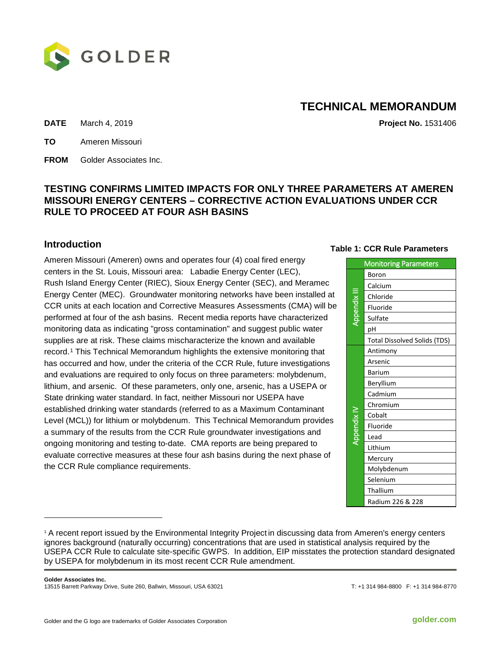

# **TECHNICAL MEMORANDUM**

**DATE** March 4, 2019 **Project No.** 1531406

**TO** Ameren Missouri

**FROM** Golder Associates Inc.

## **TESTING CONFIRMS LIMITED IMPACTS FOR ONLY THREE PARAMETERS AT AMEREN MISSOURI ENERGY CENTERS – CORRECTIVE ACTION EVALUATIONS UNDER CCR RULE TO PROCEED AT FOUR ASH BASINS**

#### **Introduction**

-

Ameren Missouri (Ameren) owns and operates four (4) coal fired energy centers in the St. Louis, Missouri area: Labadie Energy Center (LEC), Rush Island Energy Center (RIEC), Sioux Energy Center (SEC), and Meramec Energy Center (MEC). Groundwater monitoring networks have been installed at CCR units at each location and Corrective Measures Assessments (CMA) will be performed at four of the ash basins. Recent media reports have characterized monitoring data as indicating "gross contamination" and suggest public water supplies are at risk. These claims mischaracterize the known and available record.[1](#page-0-0) This Technical Memorandum highlights the extensive monitoring that has occurred and how, under the criteria of the CCR Rule, future investigations and evaluations are required to only focus on three parameters: molybdenum, lithium, and arsenic. Of these parameters, only one, arsenic, has a USEPA or State drinking water standard. In fact, neither Missouri nor USEPA have established drinking water standards (referred to as a Maximum Contaminant Level (MCL)) for lithium or molybdenum. This Technical Memorandum provides a summary of the results from the CCR Rule groundwater investigations and ongoing monitoring and testing to-date. CMA reports are being prepared to evaluate corrective measures at these four ash basins during the next phase of the CCR Rule compliance requirements.

#### **Table 1: CCR Rule Parameters**

| <b>Monitoring Parameters</b> |                                     |  |  |  |  |
|------------------------------|-------------------------------------|--|--|--|--|
| Appendix III                 | Boron                               |  |  |  |  |
|                              | Calcium                             |  |  |  |  |
|                              | Chloride                            |  |  |  |  |
|                              | Fluoride                            |  |  |  |  |
|                              | Sulfate                             |  |  |  |  |
|                              | рH                                  |  |  |  |  |
|                              | <b>Total Dissolved Solids (TDS)</b> |  |  |  |  |
| Nppendix IV                  | Antimony                            |  |  |  |  |
|                              | Arsenic                             |  |  |  |  |
|                              | <b>Barium</b>                       |  |  |  |  |
|                              | Beryllium                           |  |  |  |  |
|                              | Cadmium                             |  |  |  |  |
|                              | Chromium                            |  |  |  |  |
|                              | Cobalt                              |  |  |  |  |
|                              | Fluoride                            |  |  |  |  |
|                              | Lead                                |  |  |  |  |
|                              | Lithium                             |  |  |  |  |
|                              | Mercury                             |  |  |  |  |
|                              | Molybdenum                          |  |  |  |  |
|                              | Selenium                            |  |  |  |  |
|                              | Thallium                            |  |  |  |  |
|                              | Radium 226 & 228                    |  |  |  |  |

<span id="page-0-0"></span><sup>1</sup> A recent report issued by the Environmental Integrity Project in discussing data from Ameren's energy centers ignores background (naturally occurring) concentrations that are used in statistical analysis required by the USEPA CCR Rule to calculate site-specific GWPS. In addition, EIP misstates the protection standard designated by USEPA for molybdenum in its most recent CCR Rule amendment.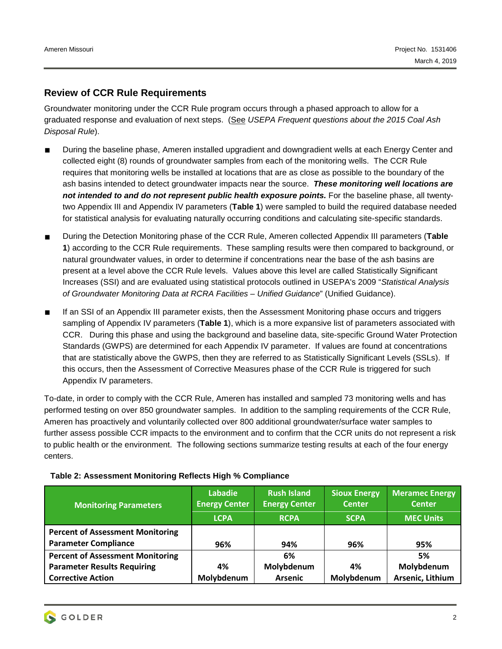#### **Review of CCR Rule Requirements**

Groundwater monitoring under the CCR Rule program occurs through a phased approach to allow for a graduated response and evaluation of next steps. (See *USEPA Frequent questions about the 2015 Coal Ash Disposal Rule*).

- During the baseline phase, Ameren installed upgradient and downgradient wells at each Energy Center and collected eight (8) rounds of groundwater samples from each of the monitoring wells. The CCR Rule requires that monitoring wells be installed at locations that are as close as possible to the boundary of the ash basins intended to detect groundwater impacts near the source. *These monitoring well locations are not intended to and do not represent public health exposure points.* For the baseline phase, all twentytwo Appendix III and Appendix IV parameters (**Table 1**) were sampled to build the required database needed for statistical analysis for evaluating naturally occurring conditions and calculating site-specific standards.
- During the Detection Monitoring phase of the CCR Rule, Ameren collected Appendix III parameters (**Table 1**) according to the CCR Rule requirements. These sampling results were then compared to background, or natural groundwater values, in order to determine if concentrations near the base of the ash basins are present at a level above the CCR Rule levels. Values above this level are called Statistically Significant Increases (SSI) and are evaluated using statistical protocols outlined in USEPA's 2009 "*Statistical Analysis of Groundwater Monitoring Data at RCRA Facilities – Unified Guidance*" (Unified Guidance).
- If an SSI of an Appendix III parameter exists, then the Assessment Monitoring phase occurs and triggers sampling of Appendix IV parameters (**Table 1**), which is a more expansive list of parameters associated with CCR. During this phase and using the background and baseline data, site-specific Ground Water Protection Standards (GWPS) are determined for each Appendix IV parameter. If values are found at concentrations that are statistically above the GWPS, then they are referred to as Statistically Significant Levels (SSLs). If this occurs, then the Assessment of Corrective Measures phase of the CCR Rule is triggered for such Appendix IV parameters.

To-date, in order to comply with the CCR Rule, Ameren has installed and sampled 73 monitoring wells and has performed testing on over 850 groundwater samples. In addition to the sampling requirements of the CCR Rule, Ameren has proactively and voluntarily collected over 800 additional groundwater/surface water samples to further assess possible CCR impacts to the environment and to confirm that the CCR units do not represent a risk to public health or the environment. The following sections summarize testing results at each of the four energy centers.

| <b>Monitoring Parameters</b>                                           | Labadie<br><b>Energy Center</b><br><b>LCPA</b> | <b>Rush Island</b><br><b>Energy Center</b><br><b>RCPA</b> | <b>Sioux Energy</b><br><b>Center</b><br><b>SCPA</b> | <b>Meramec Energy</b><br><b>Center</b><br><b>MEC Units</b> |
|------------------------------------------------------------------------|------------------------------------------------|-----------------------------------------------------------|-----------------------------------------------------|------------------------------------------------------------|
| <b>Percent of Assessment Monitoring</b><br><b>Parameter Compliance</b> | 96%                                            | 94%                                                       | 96%                                                 | 95%                                                        |
| <b>Percent of Assessment Monitoring</b>                                |                                                | 6%                                                        |                                                     | 5%                                                         |
| <b>Parameter Results Requiring</b>                                     | 4%                                             | Molybdenum                                                | 4%                                                  | Molybdenum                                                 |
| <b>Corrective Action</b>                                               | Molybdenum                                     | <b>Arsenic</b>                                            | Molybdenum                                          | Arsenic, Lithium                                           |

#### **Table 2: Assessment Monitoring Reflects High % Compliance**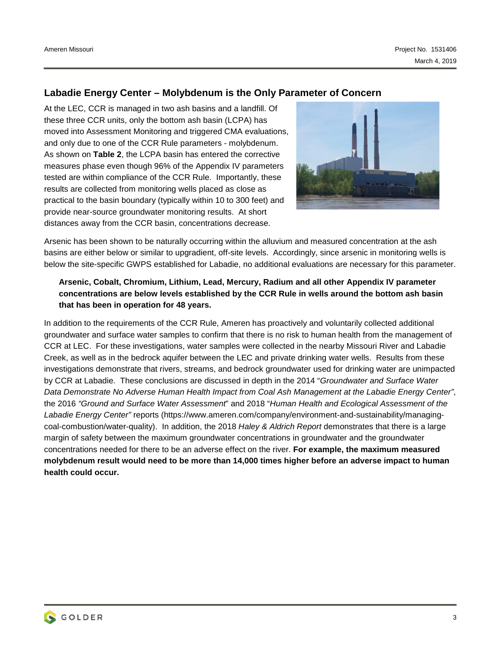#### **Labadie Energy Center – Molybdenum is the Only Parameter of Concern**

At the LEC, CCR is managed in two ash basins and a landfill. Of these three CCR units, only the bottom ash basin (LCPA) has moved into Assessment Monitoring and triggered CMA evaluations, and only due to one of the CCR Rule parameters - molybdenum. As shown on **Table 2**, the LCPA basin has entered the corrective measures phase even though 96% of the Appendix IV parameters tested are within compliance of the CCR Rule. Importantly, these results are collected from monitoring wells placed as close as practical to the basin boundary (typically within 10 to 300 feet) and provide near-source groundwater monitoring results. At short distances away from the CCR basin, concentrations decrease.



Arsenic has been shown to be naturally occurring within the alluvium and measured concentration at the ash basins are either below or similar to upgradient, off-site levels. Accordingly, since arsenic in monitoring wells is below the site-specific GWPS established for Labadie, no additional evaluations are necessary for this parameter.

#### **Arsenic, Cobalt, Chromium, Lithium, Lead, Mercury, Radium and all other Appendix IV parameter concentrations are below levels established by the CCR Rule in wells around the bottom ash basin that has been in operation for 48 years.**

In addition to the requirements of the CCR Rule, Ameren has proactively and voluntarily collected additional groundwater and surface water samples to confirm that there is no risk to human health from the management of CCR at LEC. For these investigations, water samples were collected in the nearby Missouri River and Labadie Creek, as well as in the bedrock aquifer between the LEC and private drinking water wells. Results from these investigations demonstrate that rivers, streams, and bedrock groundwater used for drinking water are unimpacted by CCR at Labadie. These conclusions are discussed in depth in the 2014 "*Groundwater and Surface Water Data Demonstrate No Adverse Human Health Impact from Coal Ash Management at the Labadie Energy Center"*, the 2016 *"Ground and Surface Water Assessment*" and 2018 "*Human Health and Ecological Assessment of the Labadie Energy Center"* reports (https://www.ameren.com/company/environment-and-sustainability/managingcoal-combustion/water-quality). In addition, the 2018 *Haley & Aldrich Report* demonstrates that there is a large margin of safety between the maximum groundwater concentrations in groundwater and the groundwater concentrations needed for there to be an adverse effect on the river. **For example, the maximum measured molybdenum result would need to be more than 14,000 times higher before an adverse impact to human health could occur.**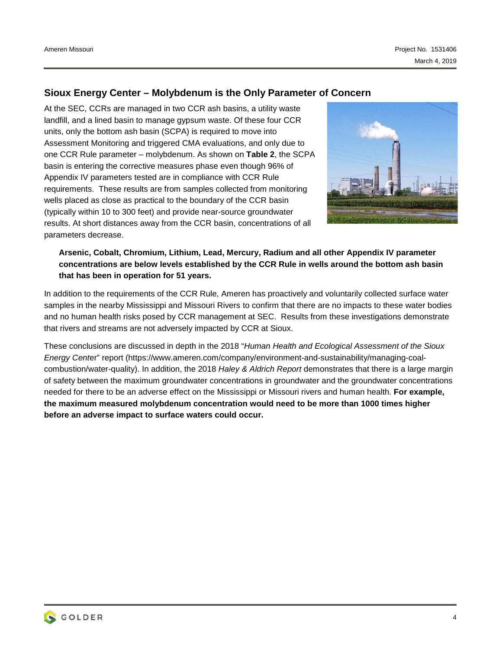### **Sioux Energy Center – Molybdenum is the Only Parameter of Concern**

At the SEC, CCRs are managed in two CCR ash basins, a utility waste landfill, and a lined basin to manage gypsum waste. Of these four CCR units, only the bottom ash basin (SCPA) is required to move into Assessment Monitoring and triggered CMA evaluations, and only due to one CCR Rule parameter – molybdenum. As shown on **Table 2**, the SCPA basin is entering the corrective measures phase even though 96% of Appendix IV parameters tested are in compliance with CCR Rule requirements. These results are from samples collected from monitoring wells placed as close as practical to the boundary of the CCR basin (typically within 10 to 300 feet) and provide near-source groundwater results. At short distances away from the CCR basin, concentrations of all parameters decrease.



**Arsenic, Cobalt, Chromium, Lithium, Lead, Mercury, Radium and all other Appendix IV parameter concentrations are below levels established by the CCR Rule in wells around the bottom ash basin that has been in operation for 51 years.** 

In addition to the requirements of the CCR Rule, Ameren has proactively and voluntarily collected surface water samples in the nearby Mississippi and Missouri Rivers to confirm that there are no impacts to these water bodies and no human health risks posed by CCR management at SEC. Results from these investigations demonstrate that rivers and streams are not adversely impacted by CCR at Sioux.

These conclusions are discussed in depth in the 2018 "*Human Health and Ecological Assessment of the Sioux Energy Cent*er" report (https://www.ameren.com/company/environment-and-sustainability/managing-coalcombustion/water-quality). In addition, the 2018 *Haley & Aldrich Report* demonstrates that there is a large margin of safety between the maximum groundwater concentrations in groundwater and the groundwater concentrations needed for there to be an adverse effect on the Mississippi or Missouri rivers and human health. **For example, the maximum measured molybdenum concentration would need to be more than 1000 times higher before an adverse impact to surface waters could occur.**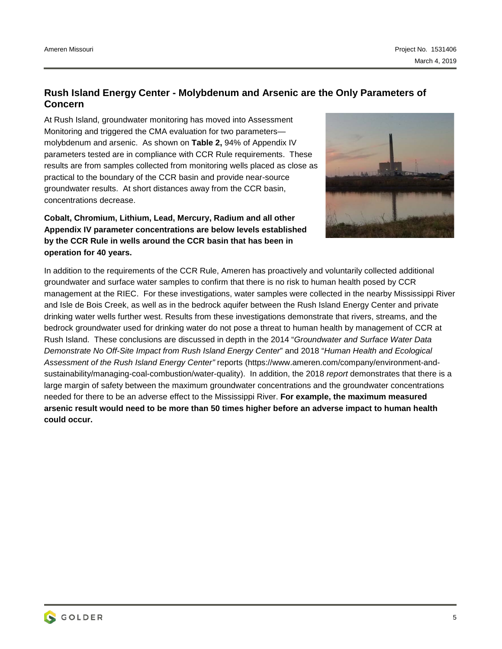#### **Rush Island Energy Center - Molybdenum and Arsenic are the Only Parameters of Concern**

At Rush Island, groundwater monitoring has moved into Assessment Monitoring and triggered the CMA evaluation for two parameters molybdenum and arsenic. As shown on **Table 2,** 94% of Appendix IV parameters tested are in compliance with CCR Rule requirements. These results are from samples collected from monitoring wells placed as close as practical to the boundary of the CCR basin and provide near-source groundwater results. At short distances away from the CCR basin, concentrations decrease.

**Cobalt, Chromium, Lithium, Lead, Mercury, Radium and all other Appendix IV parameter concentrations are below levels established by the CCR Rule in wells around the CCR basin that has been in operation for 40 years.** 



In addition to the requirements of the CCR Rule, Ameren has proactively and voluntarily collected additional groundwater and surface water samples to confirm that there is no risk to human health posed by CCR management at the RIEC. For these investigations, water samples were collected in the nearby Mississippi River and Isle de Bois Creek, as well as in the bedrock aquifer between the Rush Island Energy Center and private drinking water wells further west. Results from these investigations demonstrate that rivers, streams, and the bedrock groundwater used for drinking water do not pose a threat to human health by management of CCR at Rush Island. These conclusions are discussed in depth in the 2014 "*Groundwater and Surface Water Data Demonstrate No Off-Site Impact from Rush Island Energy Center*" and 2018 "*Human Health and Ecological Assessment of the Rush Island Energy Center"* reports (https://www.ameren.com/company/environment-andsustainability/managing-coal-combustion/water-quality). In addition, the 2018 *report* demonstrates that there is a large margin of safety between the maximum groundwater concentrations and the groundwater concentrations needed for there to be an adverse effect to the Mississippi River. **For example, the maximum measured arsenic result would need to be more than 50 times higher before an adverse impact to human health could occur.**